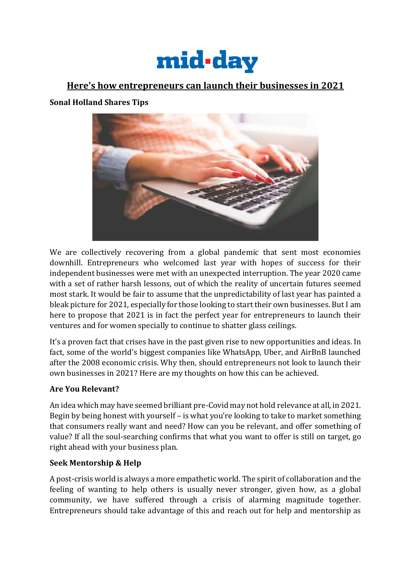

# **Here's how entrepreneurs can launch their businesses in 2021**

### **Sonal Holland Shares Tips**



We are collectively recovering from a global pandemic that sent most economies downhill. Entrepreneurs who welcomed last year with hopes of success for their independent businesses were met with an unexpected interruption. The year 2020 came with a set of rather harsh lessons, out of which the reality of uncertain futures seemed most stark. It would be fair to assume that the unpredictability of last year has painted a bleak picture for 2021, especially for those looking to start their own businesses. But I am here to propose that 2021 is in fact the perfect year for entrepreneurs to launch their ventures and for women specially to continue to shatter glass ceilings.

It's a proven fact that crises have in the past given rise to new opportunities and ideas. In fact, some of the world's biggest companies like WhatsApp, Uber, and AirBnB launched after the 2008 economic crisis. Why then, should entrepreneurs not look to launch their own businesses in 2021? Here are my thoughts on how this can be achieved.

### **Are You Relevant?**

An idea which may have seemed brilliant pre-Covid may not hold relevance at all, in 2021. Begin by being honest with yourself – is what you're looking to take to market something that consumers really want and need? How can you be relevant, and offer something of value? If all the soul-searching confirms that what you want to offer is still on target, go right ahead with your business plan.

### **Seek Mentorship & Help**

A post-crisis world is always a more empathetic world. The spirit of collaboration and the feeling of wanting to help others is usually never stronger, given how, as a global community, we have suffered through a crisis of alarming magnitude together. Entrepreneurs should take advantage of this and reach out for help and mentorship as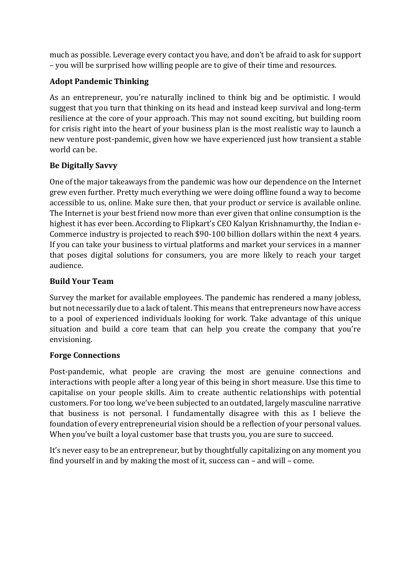much as possible. Leverage every contact you have, and don't be afraid to ask for support – you will be surprised how willing people are to give of their time and resources.

## **Adopt Pandemic Thinking**

As an entrepreneur, you're naturally inclined to think big and be optimistic. I would suggest that you turn that thinking on its head and instead keep survival and long-term resilience at the core of your approach. This may not sound exciting, but building room for crisis right into the heart of your business plan is the most realistic way to launch a new venture post-pandemic, given how we have experienced just how transient a stable world can be.

### **Be Digitally Savvy**

One of the major takeaways from the pandemic was how our dependence on the Internet grew even further. Pretty much everything we were doing offline found a way to become accessible to us, online. Make sure then, that your product or service is available online. The Internet is your best friend now more than ever given that online consumption is the highest it has ever been. According to Flipkart's CEO Kalyan Krishnamurthy, the Indian e-Commerce industry is projected to reach \$90-100 billion dollars within the next 4 years. If you can take your business to virtual platforms and market your services in a manner that poses digital solutions for consumers, you are more likely to reach your target audience.

### **Build Your Team**

Survey the market for available employees. The pandemic has rendered a many jobless, but not necessarily due to a lack of talent. This means that entrepreneurs now have access to a pool of experienced individuals looking for work. Take advantage of this unique situation and build a core team that can help you create the company that you're envisioning.

### **Forge Connections**

Post-pandemic, what people are craving the most are genuine connections and interactions with people after a long year of this being in short measure. Use this time to capitalise on your people skills. Aim to create authentic relationships with potential customers. For too long, we've been subjected to an outdated, largely masculine narrative that business is not personal. I fundamentally disagree with this as I believe the foundation of every entrepreneurial vision should be a reflection of your personal values. When you've built a loyal customer base that trusts you, you are sure to succeed.

It's never easy to be an entrepreneur, but by thoughtfully capitalizing on any moment you find yourself in and by making the most of it, success can – and will – come.